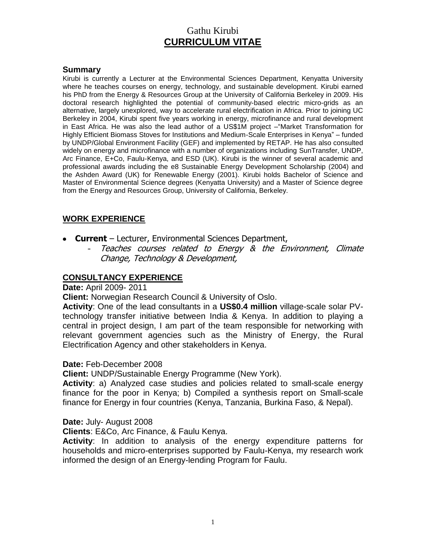# Gathu Kirubi **CURRICULUM VITAE**

#### **Summary**

Kirubi is currently a Lecturer at the Environmental Sciences Department, Kenyatta University where he teaches courses on energy, technology, and sustainable development. Kirubi earned his PhD from the Energy & Resources Group at the University of California Berkeley in 2009. His doctoral research highlighted the potential of community-based electric micro-grids as an alternative, largely unexplored, way to accelerate rural electrification in Africa. Prior to joining UC Berkeley in 2004, Kirubi spent five years working in energy, microfinance and rural development in East Africa. He was also the lead author of a US\$1M project –"Market Transformation for Highly Efficient Biomass Stoves for Institutions and Medium-Scale Enterprises in Kenya" – funded by UNDP/Global Environment Facility (GEF) and implemented by RETAP. He has also consulted widely on energy and microfinance with a number of organizations including SunTransfer, UNDP, Arc Finance, E+Co, Faulu-Kenya, and ESD (UK). Kirubi is the winner of several academic and professional awards including the e8 Sustainable Energy Development Scholarship (2004) and the Ashden Award (UK) for Renewable Energy (2001). Kirubi holds Bachelor of Science and Master of Environmental Science degrees (Kenyatta University) and a Master of Science degree from the Energy and Resources Group, University of California, Berkeley.

### **WORK EXPERIENCE**

- **Current** Lecturer, Environmental Sciences Department,
	- Teaches courses related to Energy & the Environment, Climate Change, Technology & Development,

### **CONSULTANCY EXPERIENCE**

#### **Date:** April 2009- 2011

**Client:** Norwegian Research Council & University of Oslo.

**Activity**: One of the lead consultants in a **US\$0.4 million** village-scale solar PVtechnology transfer initiative between India & Kenya. In addition to playing a central in project design, I am part of the team responsible for networking with relevant government agencies such as the Ministry of Energy, the Rural Electrification Agency and other stakeholders in Kenya.

#### **Date:** Feb-December 2008

**Client:** UNDP/Sustainable Energy Programme (New York).

**Activity**: a) Analyzed case studies and policies related to small-scale energy finance for the poor in Kenya; b) Compiled a synthesis report on Small-scale finance for Energy in four countries (Kenya, Tanzania, Burkina Faso, & Nepal).

**Date:** July- August 2008

**Clients**: E&Co, Arc Finance, & Faulu Kenya.

**Activity**: In addition to analysis of the energy expenditure patterns for households and micro-enterprises supported by Faulu-Kenya, my research work informed the design of an Energy-lending Program for Faulu.